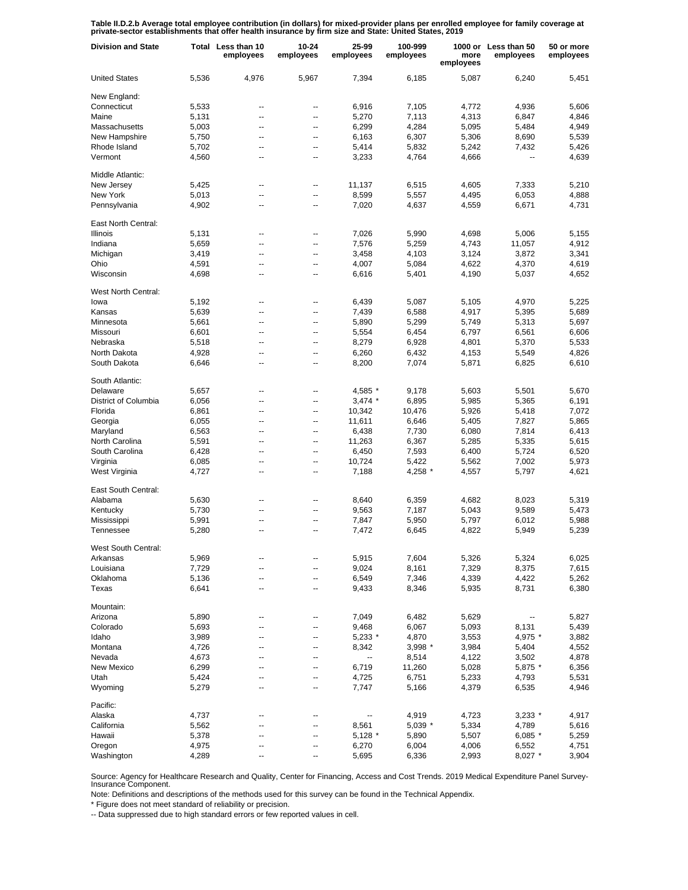Table II.D.2.b Average total employee contribution (in dollars) for mixed-provider plans per enrolled employee for family coverage at<br>private-sector establishments that offer health insurance by firm size and State: United

| <b>Division and State</b> |       | Total Less than 10<br>employees | $10 - 24$<br>employees | 25-99<br>employees | 100-999<br>employees | more<br>employees | 1000 or Less than 50<br>employees | 50 or more<br>employees |
|---------------------------|-------|---------------------------------|------------------------|--------------------|----------------------|-------------------|-----------------------------------|-------------------------|
| <b>United States</b>      | 5,536 | 4,976                           | 5,967                  | 7,394              | 6,185                | 5,087             | 6,240                             | 5.451                   |
| New England:              |       |                                 |                        |                    |                      |                   |                                   |                         |
| Connecticut               | 5,533 | --                              | --                     | 6,916              | 7,105                | 4,772             | 4,936                             | 5,606                   |
| Maine                     | 5,131 | --                              | --                     | 5,270              | 7,113                | 4,313             | 6,847                             | 4,846                   |
| Massachusetts             | 5,003 | --                              | --                     | 6,299              | 4,284                | 5,095             | 5,484                             | 4,949                   |
| New Hampshire             | 5,750 | --                              | --                     | 6,163              | 6,307                | 5,306             | 8,690                             | 5,539                   |
| Rhode Island              | 5,702 | --                              | --                     | 5,414              | 5,832                | 5,242             | 7,432                             | 5,426                   |
| Vermont                   | 4,560 | --                              | --                     | 3,233              | 4,764                | 4,666             |                                   | 4,639                   |
| Middle Atlantic:          |       |                                 |                        |                    |                      |                   |                                   |                         |
| New Jersey                | 5,425 | --                              | --                     | 11,137             | 6,515                | 4,605             | 7,333                             | 5,210                   |
| New York                  | 5,013 | --                              | --                     | 8,599              | 5,557                | 4,495             | 6,053                             | 4,888                   |
| Pennsylvania              | 4,902 | --                              | --                     | 7,020              | 4,637                | 4,559             | 6,671                             | 4,731                   |
| East North Central:       |       |                                 |                        |                    |                      |                   |                                   |                         |
| Illinois                  | 5,131 | ۰.                              | --                     | 7,026              | 5,990                | 4,698             | 5,006                             | 5,155                   |
| Indiana                   | 5,659 | --                              | --                     | 7,576              | 5,259                | 4,743             | 11,057                            | 4,912                   |
| Michigan                  | 3,419 | --                              | --                     | 3,458              | 4,103                | 3,124             | 3,872                             | 3,341                   |
| Ohio                      | 4,591 | ۰.                              | ⊷                      | 4,007              | 5,084                | 4,622             | 4,370                             | 4,619                   |
| Wisconsin                 | 4,698 | Ξ.                              | --                     | 6,616              | 5,401                | 4,190             | 5,037                             | 4,652                   |
|                           |       |                                 |                        |                    |                      |                   |                                   |                         |
| West North Central:       |       |                                 |                        |                    |                      |                   |                                   |                         |
| lowa                      | 5,192 | --                              | --                     | 6,439              | 5,087                | 5,105             | 4,970                             | 5,225                   |
| Kansas                    | 5,639 | --                              | --                     | 7,439              | 6,588                | 4,917             | 5,395                             | 5,689                   |
| Minnesota                 | 5,661 | --                              | --                     | 5,890              | 5,299                | 5,749             | 5,313                             | 5,697                   |
| Missouri                  | 6,601 | --                              | --                     | 5,554              | 6,454                | 6,797             | 6,561                             | 6,606                   |
| Nebraska                  | 5,518 | --                              | --                     | 8,279              | 6,928                | 4,801             | 5,370                             | 5,533                   |
| North Dakota              | 4,928 | --                              | --                     | 6,260              | 6,432                | 4,153             | 5,549                             | 4,826                   |
| South Dakota              | 6,646 | --                              | --                     | 8,200              | 7,074                | 5,871             | 6,825                             | 6,610                   |
| South Atlantic:           |       |                                 |                        |                    |                      |                   |                                   |                         |
| Delaware                  | 5,657 | --                              | --                     | 4,585 *            | 9,178                | 5,603             | 5,501                             | 5,670                   |
| District of Columbia      | 6,056 | --                              | --                     | $3,474$ *          | 6,895                | 5,985             | 5,365                             | 6,191                   |
| Florida                   | 6,861 | --                              | --                     | 10,342             | 10,476               | 5,926             | 5,418                             | 7,072                   |
| Georgia                   | 6,055 | --                              | --                     | 11,611             | 6,646                | 5,405             | 7,827                             | 5,865                   |
| Maryland                  | 6,563 | --                              | --                     | 6,438              | 7,730                | 6,080             | 7,814                             | 6,413                   |
| North Carolina            | 5,591 | --                              | --                     | 11,263             | 6,367                | 5,285             | 5,335                             | 5,615                   |
| South Carolina            | 6,428 | --                              | --                     | 6,450              | 7,593                | 6,400             | 5,724                             | 6,520                   |
| Virginia                  | 6,085 | --                              | --                     | 10,724             | 5,422                | 5,562             | 7,002                             | 5,973                   |
| West Virginia             |       | --                              | --                     |                    |                      |                   |                                   |                         |
|                           | 4,727 |                                 |                        | 7,188              | 4,258 *              | 4,557             | 5,797                             | 4,621                   |
| East South Central:       |       |                                 |                        |                    |                      |                   |                                   |                         |
| Alabama                   | 5,630 | --                              | --                     | 8,640              | 6,359                | 4,682             | 8,023                             | 5,319                   |
| Kentucky                  | 5,730 | Ξ.                              | --                     | 9,563              | 7,187                | 5,043             | 9,589                             | 5,473                   |
| Mississippi               | 5,991 | --                              | --                     | 7,847              | 5,950                | 5,797             | 6,012                             | 5,988                   |
| Tennessee                 | 5,280 | Ξ.                              | --                     | 7,472              | 6,645                | 4,822             | 5,949                             | 5,239                   |
| West South Central:       |       |                                 |                        |                    |                      |                   |                                   |                         |
| Arkansas                  | 5,969 |                                 |                        | 5,915              | 7,604                | 5,326             | 5,324                             | 6,025                   |
| Louisiana                 | 7,729 | --                              | --                     | 9,024              | 8,161                | 7,329             | 8,375                             | 7,615                   |
| Oklahoma                  | 5,136 |                                 | --                     | 6,549              | 7,346                | 4,339             | 4,422                             | 5,262                   |
| Texas                     | 6,641 | --                              | --                     | 9,433              | 8,346                | 5,935             | 8,731                             | 6,380                   |
| Mountain:                 |       |                                 |                        |                    |                      |                   |                                   |                         |
| Arizona                   | 5,890 | ۰.                              | --                     | 7,049              | 6,482                | 5,629             | ۰.                                | 5,827                   |
| Colorado                  | 5,693 | --                              | --                     | 9,468              | 6,067                | 5,093             | 8,131                             | 5,439                   |
| Idaho                     | 3,989 | --                              | --                     | 5,233 *            | 4,870                | 3,553             | 4,975 *                           | 3,882                   |
| Montana                   | 4,726 | --                              | --                     | 8,342              | 3,998 *              | 3,984             | 5,404                             | 4,552                   |
| Nevada                    | 4,673 | --                              | --                     | --                 |                      | 4,122             | 3,502                             | 4,878                   |
| <b>New Mexico</b>         | 6,299 | --                              | --                     | 6,719              | 8,514<br>11,260      | 5,028             | 5,875 *                           | 6,356                   |
|                           |       |                                 |                        |                    |                      |                   |                                   |                         |
| Utah                      | 5,424 | --                              | --                     | 4,725              | 6,751                | 5,233             | 4,793                             | 5,531                   |
| Wyoming                   | 5,279 | --                              | --                     | 7,747              | 5,166                | 4,379             | 6,535                             | 4,946                   |
| Pacific:                  |       |                                 |                        |                    |                      |                   |                                   |                         |
| Alaska                    | 4,737 | --                              |                        |                    | 4,919                | 4,723             | $3,233$ *                         | 4,917                   |
| California                | 5,562 |                                 | --                     | 8,561              | $5,039$ *            | 5,334             | 4,789                             | 5,616                   |
| Hawaii                    | 5,378 | --                              | --                     | $5,128$ *          | 5,890                | 5,507             | $6,085$ *                         | 5,259                   |
| Oregon                    | 4,975 | ۵.                              | --                     | 6,270              | 6,004                | 4,006             | 6,552                             | 4,751                   |
| Washington                | 4,289 |                                 |                        | 5,695              | 6,336                | 2,993             | $8,027$ *                         | 3,904                   |

Source: Agency for Healthcare Research and Quality, Center for Financing, Access and Cost Trends. 2019 Medical Expenditure Panel Survey-Insurance Component.

Note: Definitions and descriptions of the methods used for this survey can be found in the Technical Appendix.

\* Figure does not meet standard of reliability or precision.

-- Data suppressed due to high standard errors or few reported values in cell.